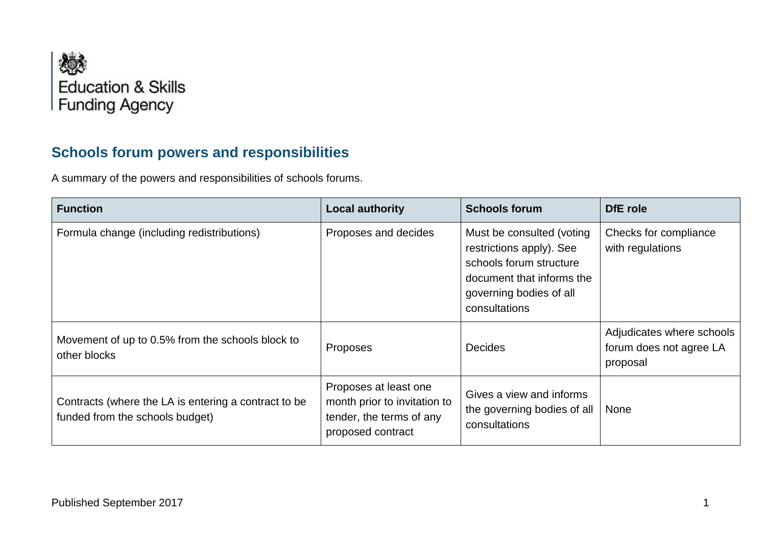

## **Schools forum powers and responsibilities**

A summary of the powers and responsibilities of schools forums.

| <b>Function</b>                                                                         | <b>Local authority</b>                                                                                 | <b>Schools forum</b>                                                                                                                                      | DfE role                                                         |
|-----------------------------------------------------------------------------------------|--------------------------------------------------------------------------------------------------------|-----------------------------------------------------------------------------------------------------------------------------------------------------------|------------------------------------------------------------------|
| Formula change (including redistributions)                                              | Proposes and decides                                                                                   | Must be consulted (voting<br>restrictions apply). See<br>schools forum structure<br>document that informs the<br>governing bodies of all<br>consultations | Checks for compliance<br>with regulations                        |
| Movement of up to 0.5% from the schools block to<br>other blocks                        | Proposes                                                                                               | <b>Decides</b>                                                                                                                                            | Adjudicates where schools<br>forum does not agree LA<br>proposal |
| Contracts (where the LA is entering a contract to be<br>funded from the schools budget) | Proposes at least one<br>month prior to invitation to<br>tender, the terms of any<br>proposed contract | Gives a view and informs<br>the governing bodies of all<br>consultations                                                                                  | <b>None</b>                                                      |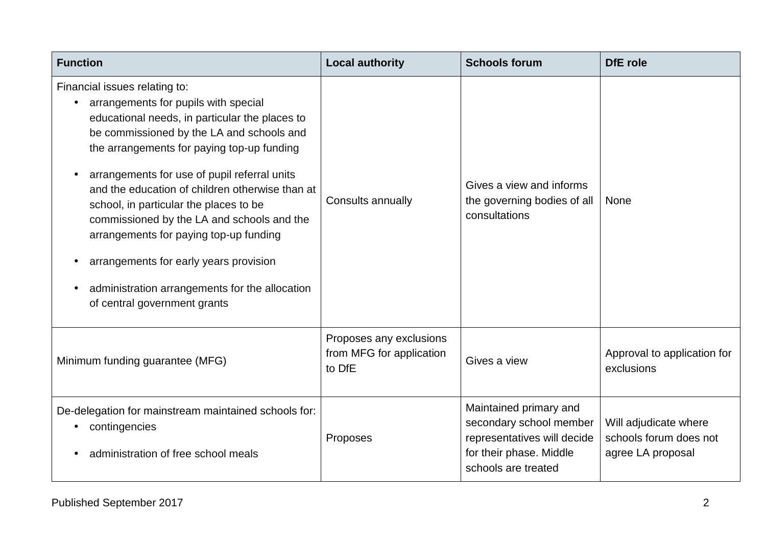| <b>Function</b>                                                                                                                                                                                                                                                                                                                                                                                                                                                                                                                                                                     | <b>Local authority</b>                                        | <b>Schools forum</b>                                                                                                               | <b>DfE</b> role                                                      |
|-------------------------------------------------------------------------------------------------------------------------------------------------------------------------------------------------------------------------------------------------------------------------------------------------------------------------------------------------------------------------------------------------------------------------------------------------------------------------------------------------------------------------------------------------------------------------------------|---------------------------------------------------------------|------------------------------------------------------------------------------------------------------------------------------------|----------------------------------------------------------------------|
| Financial issues relating to:<br>arrangements for pupils with special<br>educational needs, in particular the places to<br>be commissioned by the LA and schools and<br>the arrangements for paying top-up funding<br>arrangements for use of pupil referral units<br>and the education of children otherwise than at<br>school, in particular the places to be<br>commissioned by the LA and schools and the<br>arrangements for paying top-up funding<br>arrangements for early years provision<br>administration arrangements for the allocation<br>of central government grants | Consults annually                                             | Gives a view and informs<br>the governing bodies of all<br>consultations                                                           | <b>None</b>                                                          |
| Minimum funding guarantee (MFG)                                                                                                                                                                                                                                                                                                                                                                                                                                                                                                                                                     | Proposes any exclusions<br>from MFG for application<br>to DfE | Gives a view                                                                                                                       | Approval to application for<br>exclusions                            |
| De-delegation for mainstream maintained schools for:<br>contingencies<br>administration of free school meals                                                                                                                                                                                                                                                                                                                                                                                                                                                                        | Proposes                                                      | Maintained primary and<br>secondary school member<br>representatives will decide<br>for their phase. Middle<br>schools are treated | Will adjudicate where<br>schools forum does not<br>agree LA proposal |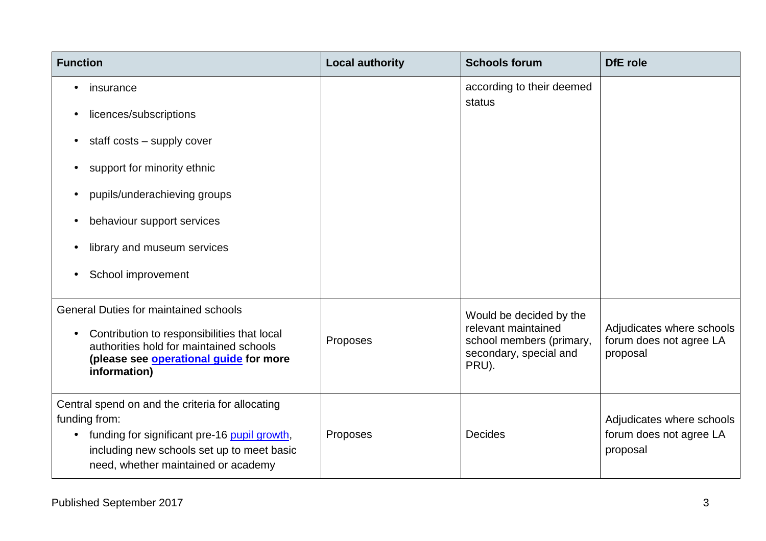| <b>Function</b>                                                                                                                                                                                                     | <b>Local authority</b> | <b>Schools forum</b>                                                               | DfE role                                                         |
|---------------------------------------------------------------------------------------------------------------------------------------------------------------------------------------------------------------------|------------------------|------------------------------------------------------------------------------------|------------------------------------------------------------------|
| insurance                                                                                                                                                                                                           |                        | according to their deemed                                                          |                                                                  |
| licences/subscriptions                                                                                                                                                                                              |                        | status                                                                             |                                                                  |
| staff costs - supply cover                                                                                                                                                                                          |                        |                                                                                    |                                                                  |
| support for minority ethnic                                                                                                                                                                                         |                        |                                                                                    |                                                                  |
| pupils/underachieving groups                                                                                                                                                                                        |                        |                                                                                    |                                                                  |
| behaviour support services                                                                                                                                                                                          |                        |                                                                                    |                                                                  |
| library and museum services                                                                                                                                                                                         |                        |                                                                                    |                                                                  |
| School improvement                                                                                                                                                                                                  |                        |                                                                                    |                                                                  |
| <b>General Duties for maintained schools</b>                                                                                                                                                                        |                        | Would be decided by the                                                            |                                                                  |
| Contribution to responsibilities that local<br>$\bullet$<br>authorities hold for maintained schools<br>(please see operational guide for more<br>information)                                                       | Proposes               | relevant maintained<br>school members (primary,<br>secondary, special and<br>PRU). | Adjudicates where schools<br>forum does not agree LA<br>proposal |
| Central spend on and the criteria for allocating<br>funding from:<br>funding for significant pre-16 pupil growth,<br>$\bullet$<br>including new schools set up to meet basic<br>need, whether maintained or academy | Proposes               | <b>Decides</b>                                                                     | Adjudicates where schools<br>forum does not agree LA<br>proposal |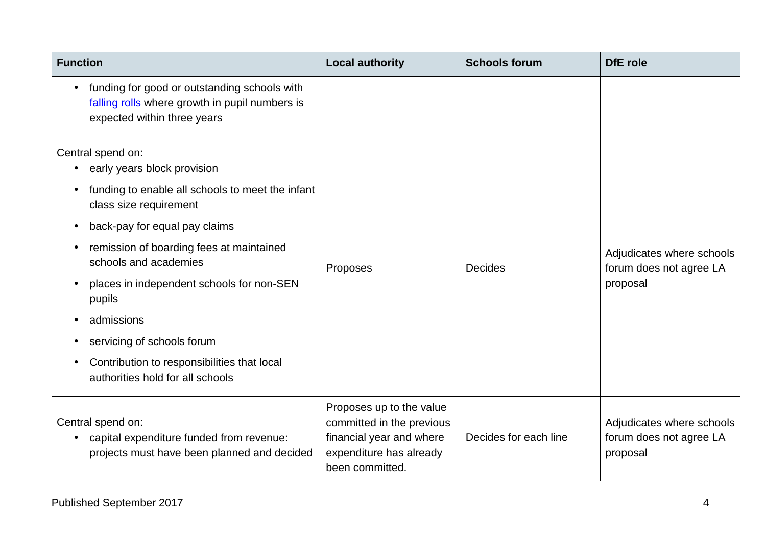| <b>Function</b>                                                                                                               | <b>Local authority</b>                                                                                                          | <b>Schools forum</b>  | DfE role                                                         |
|-------------------------------------------------------------------------------------------------------------------------------|---------------------------------------------------------------------------------------------------------------------------------|-----------------------|------------------------------------------------------------------|
| funding for good or outstanding schools with<br>falling rolls where growth in pupil numbers is<br>expected within three years |                                                                                                                                 |                       |                                                                  |
| Central spend on:<br>early years block provision<br>funding to enable all schools to meet the infant                          | Proposes                                                                                                                        |                       |                                                                  |
| class size requirement<br>back-pay for equal pay claims<br>$\bullet$                                                          |                                                                                                                                 |                       |                                                                  |
| remission of boarding fees at maintained<br>schools and academies                                                             |                                                                                                                                 | <b>Decides</b>        | Adjudicates where schools<br>forum does not agree LA<br>proposal |
| places in independent schools for non-SEN<br>$\bullet$<br>pupils                                                              |                                                                                                                                 |                       |                                                                  |
| admissions                                                                                                                    |                                                                                                                                 |                       |                                                                  |
| servicing of schools forum                                                                                                    |                                                                                                                                 |                       |                                                                  |
| Contribution to responsibilities that local<br>authorities hold for all schools                                               |                                                                                                                                 |                       |                                                                  |
| Central spend on:<br>capital expenditure funded from revenue:<br>$\bullet$<br>projects must have been planned and decided     | Proposes up to the value<br>committed in the previous<br>financial year and where<br>expenditure has already<br>been committed. | Decides for each line | Adjudicates where schools<br>forum does not agree LA<br>proposal |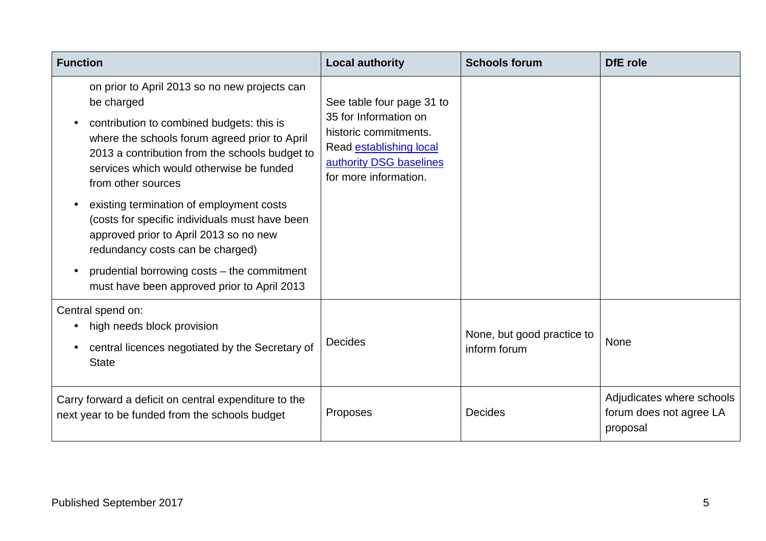| <b>Function</b>                                                                                                                                                                                                                                                               | <b>Local authority</b>                                                                                                                                     | <b>Schools forum</b>                       | DfE role                                                         |
|-------------------------------------------------------------------------------------------------------------------------------------------------------------------------------------------------------------------------------------------------------------------------------|------------------------------------------------------------------------------------------------------------------------------------------------------------|--------------------------------------------|------------------------------------------------------------------|
| on prior to April 2013 so no new projects can<br>be charged<br>contribution to combined budgets: this is<br>where the schools forum agreed prior to April<br>2013 a contribution from the schools budget to<br>services which would otherwise be funded<br>from other sources | See table four page 31 to<br>35 for Information on<br>historic commitments.<br>Read establishing local<br>authority DSG baselines<br>for more information. |                                            |                                                                  |
| existing termination of employment costs<br>(costs for specific individuals must have been<br>approved prior to April 2013 so no new<br>redundancy costs can be charged)<br>prudential borrowing costs - the commitment                                                       |                                                                                                                                                            |                                            |                                                                  |
| must have been approved prior to April 2013                                                                                                                                                                                                                                   |                                                                                                                                                            |                                            |                                                                  |
| Central spend on:<br>high needs block provision<br>central licences negotiated by the Secretary of<br><b>State</b>                                                                                                                                                            | <b>Decides</b>                                                                                                                                             | None, but good practice to<br>inform forum | None                                                             |
| Carry forward a deficit on central expenditure to the<br>next year to be funded from the schools budget                                                                                                                                                                       | Proposes                                                                                                                                                   | <b>Decides</b>                             | Adjudicates where schools<br>forum does not agree LA<br>proposal |